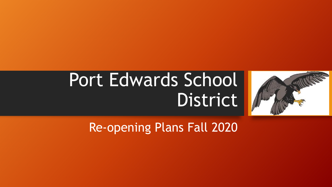

# Port Edwards School District

Re-opening Plans Fall 2020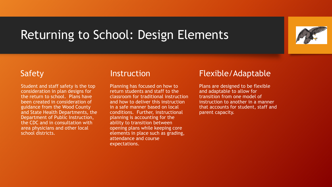### Returning to School: Design Elements



#### Safety

Student and staff safety is the top consideration in plan designs for the return to school. Plans have been created in consideration of guidance from the Wood County and State Health Departments, the Department of Public Instruction, the CDC and in consultation with area physicians and other local school districts.

#### **Instruction**

Planning has focused on how to return students and staff to the classroom for traditional instruction and how to deliver this instruction in a safe manner based on local conditions. Further, instructional planning is accounting for the ability to transition between opening plans while keeping core elements in place such as grading, attendance and course expectations.

### Flexible/Adaptable

Plans are designed to be flexible and adaptable to allow for transition from one model of instruction to another in a manner that accounts for student, staff and parent capacity.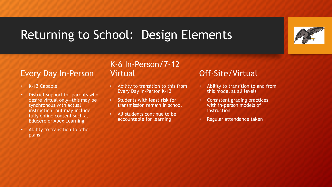# Returning to School: Design Elements

### Every Day In-Person

- K-12 Capable
- District support for parents who desire virtual only—this may be synchronous with actual instruction, but may include fully online content such as Educere or Apex Learning
- Ability to transition to other plans

#### K-6 In-Person/7-12 Virtual

- Ability to transition to this from Every Day In-Person K-12
- Students with least risk for transmission remain in school
- All students continue to be accountable for learning

### Off-Site/Virtual

- Ability to transition to and from this model at all levels
- Consistent grading practices with in-person models of instruction
- Regular attendance taken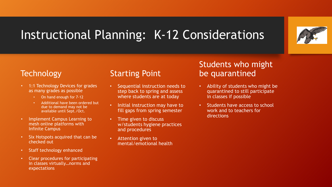# Instructional Planning: K-12 Considerations



#### **Technology**

- 1:1 Technology Devices for grades as many grades as possible
	- On hand enough for 7-12
	- Additional have been ordered but due to demand may not be available until Sept./Oct.
- Implement Campus Learning to mesh online platforms with Infinite Campus
- Six Hotspots acquired that can be checked out
- Staff technology enhanced
- Clear procedures for participating in classes virtually…norms and expectations

#### Starting Point

- Sequential instruction needs to step back to spring and assess where students are at today
- Initial instruction may have to fill gaps from spring semester
- Time given to discuss w/students hygiene practices and procedures
- Attention given to mental/emotional health

#### Students who might be quarantined

- Ability of students who might be quarantined to still participate in classes if possible
- Students have access to school work and to teachers for directions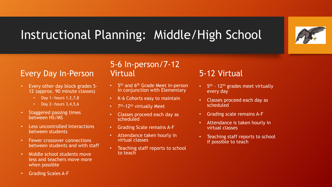

# Instructional Planning: Middle/High School

### Every Day In-Person

- Every other day block grades 5- 12 (approx. 90 minute classes)
	- Day 1—hours 1,2,7,8
	- Day 2-hours  $3,4,5,6$
- Staggered passing times between HS/MS
- Less uncontrolled interactions between students
- Fewer crossover connections between students and with staff
- Middle school students move less and teachers move more when possible
- Grading Scales A-F

#### 5-6 In-person/7-12 Virtual

- 5<sup>th</sup> and 6<sup>th</sup> Grade Meet in-person in conjunction with Elementary
- K-6 Cohorts easy to maintain
- 7<sup>th</sup>-12<sup>th</sup> virtually Meet
- Classes proceed each day as scheduled
- Grading Scale remains A-F
- Attendance taken hourly in virtual classes
- Teaching staff reports to school to teach

### 5-12 Virtual

- 5<sup>th</sup> 12<sup>th</sup> grades meet virtually every day
- Classes proceed each day as scheduled
- Grading scale remains A-F
- Attendance is taken hourly in virtual classes
- Teaching staff reports to school if possible to teach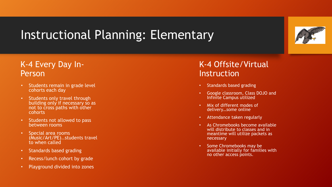# Instructional Planning: Elementary



- Students remain in grade level cohorts each day
- Students only travel through building only if necessary so as not to cross paths with other cohorts
- Students not allowed to pass between rooms
- Special area rooms (Music/Art/PE)..students travel to when called
- Standards based grading
- Recess/lunch cohort by grade
- Playground divided into zones

#### K-4 Offsite/Virtual Instruction

- Standards based grading
- Google classroom, Class DOJO and Infinite Campus utilized
- Mix of different modes of delivery…some online
- Attendance taken regularly
- As Chromebooks become available will distribute to classes and in meantime will utilize packets as necessary
- Some Chromebooks may be available initially for families with no other access points.

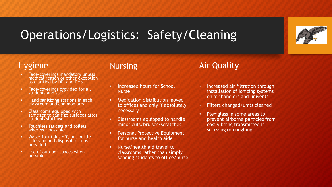# Operations/Logistics: Safety/Cleaning



#### Hygiene

- Face-coverings mandatory unless medical reason or other exception as clarified by DPI and DHS
- Face-coverings provided for all students and staff
- Hand sanitizing stations in each classroom and common area
- Classrooms equipped with sanitizer to sanitize surfaces after student/staff use
- Touchless faucets and toilets wherever possible
- Water fountains off, but bottle fillers on and disposable cups provided
- Use of outdoor spaces when possible

#### Nursing

- Increased hours for School **Nurse**
- Medication distribution moved to offices and only if absolutely necessary
- Classrooms equipped to handle minor cuts/bruises/scratches
- Personal Protective Equipment for nurse and health aide
- Nurse/health aid travel to classrooms rather than simply sending students to office/nurse

### Air Quality

- Increased air filtration through installation of ionizing systems on air handlers and univents
- Filters changed/units cleaned
- Plexiglass in some areas to prevent airborne particles from easily being transmitted if sneezing or coughing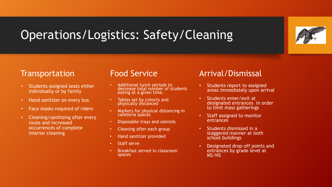# Operations/Logistics: Safety/Cleaning



#### **Transportation**

- Students assigned seats either individually or by family
- Hand sanitizer on every bus
- Face masks required of riders
- Cleaning/sanitizing after every route and increased occurrences of complete interior cleaning

#### Food Service

- Additional lunch periods to decrease total number of students eating at a given time.
- Tables set by cohorts and physically distanced
- Markers for physical distancing in cafeteria spaces
- Disposable trays and utensils
- Cleaning after each group
- Hand sanitizer provided
- Staff serve
- Breakfast served in classroom spaces

### Arrival/Dismissal

- Students report to assigned areas immediately upon arrival
- Students enter/exit at designated entrances in order to limit mass gatherings
- Staff assigned to monitor entrances
- Students dismissed in a staggered manner at both school buildings
- Designated drop-off points and entrances by grade level at MS/HS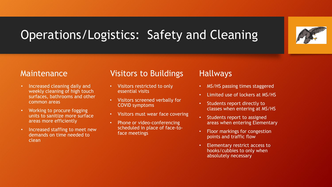# Operations/Logistics: Safety and Cleaning



#### Maintenance

- Increased cleaning daily and weekly cleaning of high touch surfaces, bathrooms and other common areas
- Working to procure fogging units to sanitize more surface areas more efficiently
- Increased staffing to meet new demands on time needed to clean

#### Visitors to Buildings

- Visitors restricted to only essential visits
- Visitors screened verbally for COVID symptoms
- Visitors must wear face covering
- Phone or video-conferencing scheduled in place of face-toface meetings

#### Hallways

- MS/HS passing times staggered
- Limited use of lockers at MS/HS
- Students report directly to classes when entering at MS/HS
- Students report to assigned areas when entering Elementary
- Floor markings for congestion points and traffic flow
- Elementary restrict access to hooks/cubbies to only when absolutely necessary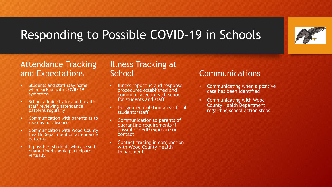# Responding to Possible COVID-19 in Schools



### Attendance Tracking and Expectations

- Students and staff stay home when sick or with COVID-19 symptoms
- School administrators and health staff reviewing attendance patterns regularly
- Communication with parents as to reasons for absences
- Communication with Wood County Health Department on attendance patterns
- If possible, students who are selfquarantined should participate virtually

#### Illness Tracking at **School**

- Illness reporting and response procedures established and communicated in each school for students and staff
- Designated isolation areas for ill students/staff
- Communication to parents of quarantine requirements if possible COVID exposure or contact
- Contact tracing in conjunction with Wood County Health Department

### Communications

- Communicating when a positive case has been identified
- Communicating with Wood County Health Department regarding school action steps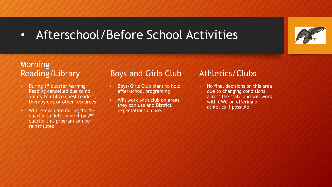# • Afterschool/Before School Activities



### Morning Reading/Library

- During 1<sup>st</sup> quarter Morning Reading cancelled due to no ability to utilize guest readers, therapy dog or other resources
- Will re-evaluate during the 1<sup>st</sup> quarter to determine if by 2nd quarter this program can be reinstituted

### **Boys and Girls Club**

- Boys/Girls Club plans to hold after-school programing
- Will work with club on areas they can use and District expectations on use.

### Athletics/Clubs

• No final decisions on this area due to changing conditions across the state and will work with CWC on offering of athletics if possible